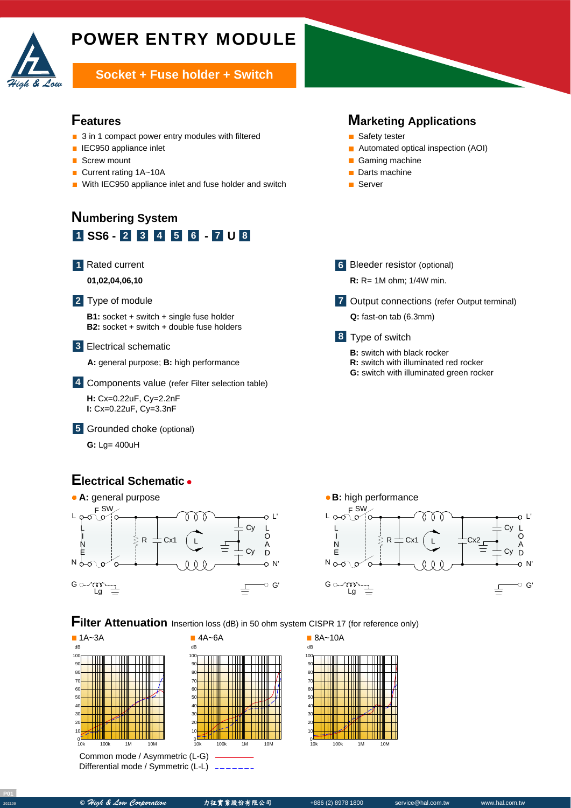

# POWER ENTRY MODULE

**Socket + Fuse holder + Switch** 

## **Features**

- 3 in 1 compact power entry modules with filtered
- **IEC950 appliance inlet**
- $\overline{\phantom{a}}$ Screw mount
- Current rating 1A~10A  $\blacksquare$
- With IEC950 appliance inlet and fuse holder and switch

## **1 SS6 - 2 3 4 5 6** - 7 **U** 8 **Numbering System**



A **01,02,04,06,10**

#### Type of module **2**

**B1:** socket + switch + single fuse holder **B2:** socket + switch + double fuse holders

### Electrical schematic **3**

A **A:** general purpose; **B:** high performance

Components value (refer Filter selection table) **4**

A **H:** Cx=0.22uF, Cy=2.2nF **I:** Cx=0.22uF, Cy=3.3nF

Grounded choke (optional) **5**

**G:** Lg= 400uH

## **Electrical Schematic**





**Marketing Applications**

■ Automated optical inspection (AOI)

Output connections (refer Output terminal) **7**

■ Safety tester

Gaming machine Darts machine ■ Server

**6** Bleeder resistor (optional) **R:** R= 1M ohm; 1/4W min.

**Q:** fast-on tab (6.3mm)

**B:** switch with black rocker

**R:** switch with illuminated red rocker **G:** switch with illuminated green rocker

Type of switch **8**

**Filter Attenuation** Insertion loss (dB) in 50 ohm system CISPR 17 (for reference only)



Differential mode / Symmetric (L-L)





**<sup>202109</sup> ©** High & Low Corporation 力征實業股份有限公司 +886 (2) 8978 1800 service@hal.com.tw www.hal.com.tw

10k 100k 1M 10M